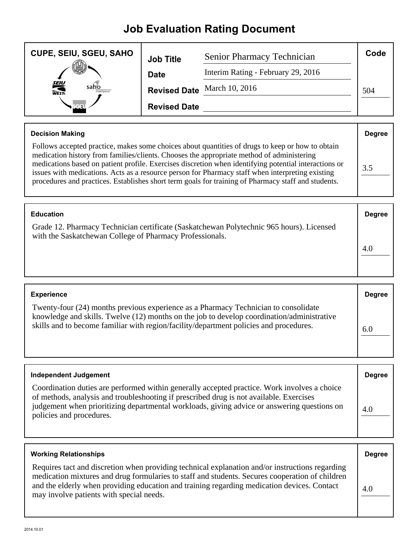## **Job Evaluation Rating Document**

| <b>CUPE, SEIU, SGEU, SAHO</b> | <b>Job Title</b>    | Senior Pharmacy Technician         | Code |
|-------------------------------|---------------------|------------------------------------|------|
|                               | <b>Date</b>         | Interim Rating - February 29, 2016 |      |
| <b>SEIU</b><br>WEST-<br>saho  |                     | Revised Date March 10, 2016        | 504  |
| Real                          | <b>Revised Date</b> |                                    |      |

| <b>Decision Making</b>                                                                                                                                                                                                                                                                                                                                                                                                                                                                                            | <b>Degree</b> |
|-------------------------------------------------------------------------------------------------------------------------------------------------------------------------------------------------------------------------------------------------------------------------------------------------------------------------------------------------------------------------------------------------------------------------------------------------------------------------------------------------------------------|---------------|
| Follows accepted practice, makes some choices about quantities of drugs to keep or how to obtain<br>medication history from families/clients. Chooses the appropriate method of administering<br>medications based on patient profile. Exercises discretion when identifying potential interactions or<br>issues with medications. Acts as a resource person for Pharmacy staff when interpreting existing<br>procedures and practices. Establishes short term goals for training of Pharmacy staff and students. | 3.5           |

| <b>Education</b>                                                                                                                                     | <b>Degree</b> |
|------------------------------------------------------------------------------------------------------------------------------------------------------|---------------|
| Grade 12. Pharmacy Technician certificate (Saskatchewan Polytechnic 965 hours). Licensed<br>with the Saskatchewan College of Pharmacy Professionals. | 4.0           |

| <b>Experience</b>                                                                                                                                                                                                                                                           | <b>Degree</b> |
|-----------------------------------------------------------------------------------------------------------------------------------------------------------------------------------------------------------------------------------------------------------------------------|---------------|
| Twenty-four (24) months previous experience as a Pharmacy Technician to consolidate<br>knowledge and skills. Twelve (12) months on the job to develop coordination/administrative<br>skills and to become familiar with region/facility/department policies and procedures. | 6.0           |

| <b>Independent Judgement</b>                                                                                                                                                                                                                                                                                       | <b>Degree</b> |
|--------------------------------------------------------------------------------------------------------------------------------------------------------------------------------------------------------------------------------------------------------------------------------------------------------------------|---------------|
| Coordination duties are performed within generally accepted practice. Work involves a choice<br>of methods, analysis and troubleshooting if prescribed drug is not available. Exercises<br>judgement when prioritizing departmental workloads, giving advice or answering questions on<br>policies and procedures. | 4.0           |

| <b>Working Relationships</b>                                                                                                                                                                                                                                                                                                                  | <b>Degree</b> |
|-----------------------------------------------------------------------------------------------------------------------------------------------------------------------------------------------------------------------------------------------------------------------------------------------------------------------------------------------|---------------|
| Requires tact and discretion when providing technical explanation and/or instructions regarding<br>medication mixtures and drug formularies to staff and students. Secures cooperation of children<br>and the elderly when providing education and training regarding medication devices. Contact<br>may involve patients with special needs. | 4.0           |